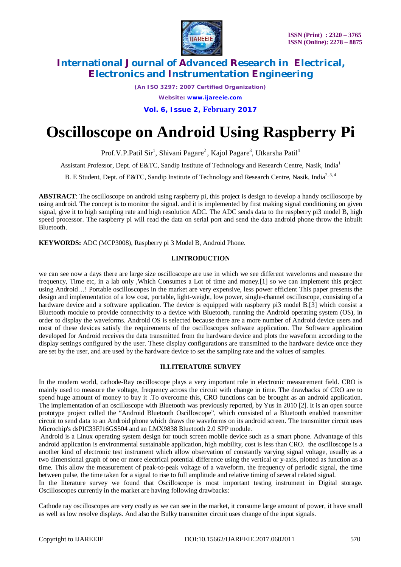

*(An ISO 3297: 2007 Certified Organization) Website: [www.ijareeie.com](http://www.ijareeie.com)* **Vol. 6, Issue 2, February 2017**

# **Oscilloscope on Android Using Raspberry Pi**

Prof.V.P.Patil Sir<sup>1</sup>, Shivani Pagare<sup>2</sup>, Kajol Pagare<sup>3</sup>, Utkarsha Patil<sup>4</sup>

Assistant Professor, Dept. of E&TC, Sandip Institute of Technology and Research Centre, Nasik, India<sup>1</sup>

B. E Student, Dept. of E&TC, Sandip Institute of Technology and Research Centre, Nasik, India<sup>2, 3, 4</sup>

**ABSTRACT**: The oscilloscope on android using raspberry pi, this project is design to develop a handy oscilloscope by using android. The concept is to monitor the signal. and it is implemented by first making signal conditioning on given signal, give it to high sampling rate and high resolution ADC. The ADC sends data to the raspberry pi3 model B, high speed processor. The raspberry pi will read the data on serial port and send the data android phone throw the inbuilt Bluetooth.

**KEYWORDS:** ADC (MCP3008), Raspberry pi 3 Model B, Android Phone.

### **I.INTRODUCTION**

we can see now a days there are large size oscilloscope are use in which we see different waveforms and measure the frequency, Time etc, in a lab only ,Which Consumes a Lot of time and money.[1] so we can implement this project using Android…! Portable oscilloscopes in the market are very expensive, less power efficient This paper presents the design and implementation of a low cost, portable, light-weight, low power, single-channel oscilloscope, consisting of a hardware device and a software application. The device is equipped with raspberry pi3 model B.[3] which consist a Bluetooth module to provide connectivity to a device with Bluetooth, running the Android operating system (OS), in order to display the waveforms. Android OS is selected because there are a more number of Android device users and most of these devices satisfy the requirements of the oscilloscopes software application. The Software application developed for Android receives the data transmitted from the hardware device and plots the waveform according to the display settings configured by the user. These display configurations are transmitted to the hardware device once they are set by the user, and are used by the hardware device to set the sampling rate and the values of samples.

### **II.LITERATURE SURVEY**

In the modern world, cathode-Ray oscilloscope plays a very important role in electronic measurement field. CRO is mainly used to measure the voltage, frequency across the circuit with change in time. The drawbacks of CRO are to spend huge amount of money to buy it .To overcome this, CRO functions can be brought as an android application. The implementation of an oscilloscope with Bluetooth was previously reported, by Yus in 2010 [2]. It is an open source prototype project called the "Android Bluetooth Oscilloscope", which consisted of a Bluetooth enabled transmitter circuit to send data to an Android phone which draws the waveforms on its android screen. The transmitter circuit uses Microchip's dsPIC33FJ16GS504 and an LMX9838 Bluetooth 2.0 SPP module.

Android is a Linux operating system design for touch screen mobile device such as a smart phone. Advantage of this android application is environmental sustainable application, high mobility, cost is less than CRO. the oscilloscope is a another kind of electronic test instrument which allow observation of constantly varying signal voltage, usually as a two dimensional graph of one or more electrical potential difference using the vertical or y-axis, plotted as function as a time. This allow the measurement of peak-to-peak voltage of a waveform, the frequency of periodic signal, the time between pulse, the time taken for a signal to rise to full amplitude and relative timing of several related signal.

In the literature survey we found that Oscilloscope is most important testing instrument in Digital storage. Oscilloscopes currently in the market are having following drawbacks:

Cathode ray oscilloscopes are very costly as we can see in the market, it consume large amount of power, it have small as well as low resolve displays. And also the Bulky transmitter circuit uses change of the input signals.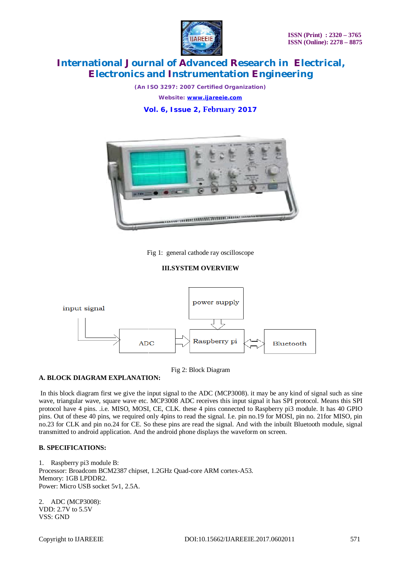

*(An ISO 3297: 2007 Certified Organization) Website: [www.ijareeie.com](http://www.ijareeie.com)* **Vol. 6, Issue 2, February 2017**



Fig 1: general cathode ray oscilloscope

### **III.SYSTEM OVERVIEW**



### Fig 2: Block Diagram

### **A. BLOCK DIAGRAM EXPLANATION:**

In this block diagram first we give the input signal to the ADC (MCP3008). it may be any kind of signal such as sine wave, triangular wave, square wave etc. MCP3008 ADC receives this input signal it has SPI protocol. Means this SPI protocol have 4 pins. .i.e. MISO, MOSI, CE, CLK. these 4 pins connected to Raspberry pi3 module. It has 40 GPIO pins. Out of these 40 pins, we required only 4pins to read the signal. I.e. pin no.19 for MOSI, pin no. 21for MISO, pin no.23 for CLK and pin no.24 for CE. So these pins are read the signal. And with the inbuilt Bluetooth module, signal transmitted to android application. And the android phone displays the waveform on screen.

### **B. SPECIFICATIONS:**

1. Raspberry pi3 module B: Processor: Broadcom BCM2387 chipset, 1.2GHz Quad-core ARM cortex-A53. Memory: 1GB LPDDR2. Power: Micro USB socket 5v1, 2.5A.

2. ADC (MCP3008): VDD: 2.7V to 5.5V VSS: GND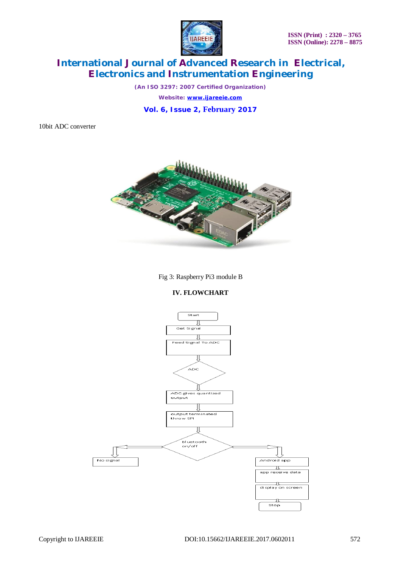

*(An ISO 3297: 2007 Certified Organization) Website: [www.ijareeie.com](http://www.ijareeie.com)* **Vol. 6, Issue 2, February 2017**

10bit ADC converter



Fig 3: Raspberry Pi3 module B

## **IV. FLOWCHART**

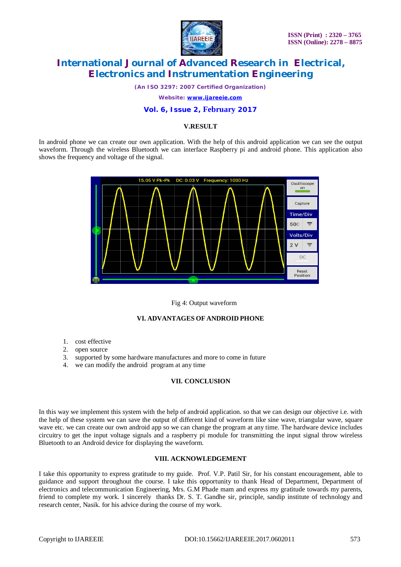

*(An ISO 3297: 2007 Certified Organization)*

*Website: [www.ijareeie.com](http://www.ijareeie.com)*

### **Vol. 6, Issue 2, February 2017**

### **V.RESULT**

In android phone we can create our own application. With the help of this android application we can see the output waveform. Through the wireless Bluetooth we can interface Raspberry pi and android phone. This application also shows the frequency and voltage of the signal.



#### Fig 4: Output waveform

#### **VI. ADVANTAGES OF ANDROID PHONE**

- 1. cost effective
- 2. open source
- 3. supported by some hardware manufactures and more to come in future
- 4. we can modify the android program at any time

### **VII. CONCLUSION**

In this way we implement this system with the help of android application. so that we can design our objective i.e. with the help of these system we can save the output of different kind of waveform like sine wave, triangular wave, square wave etc. we can create our own android app so we can change the program at any time. The hardware device includes circuitry to get the input voltage signals and a raspberry pi module for transmitting the input signal throw wireless Bluetooth to an Android device for displaying the waveform.

#### **VIII. ACKNOWLEDGEMENT**

I take this opportunity to express gratitude to my guide. Prof. V.P. Patil Sir, for his constant encouragement, able to guidance and support throughout the course. I take this opportunity to thank Head of Department, Department of electronics and telecommunication Engineering, Mrs. G.M Phade mam and express my gratitude towards my parents, friend to complete my work. I sincerely thanks Dr. S. T. Gandhe sir, principle, sandip institute of technology and research center, Nasik. for his advice during the course of my work.